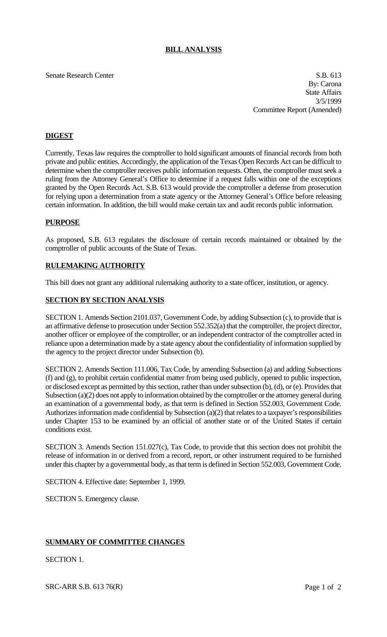# **BILL ANALYSIS**

Senate Research Center S.B. 613 By: Carona State Affairs 3/5/1999 Committee Report (Amended)

# **DIGEST**

Currently, Texas law requires the comptroller to hold significant amounts of financial records from both private and public entities. Accordingly, the application of the Texas Open Records Act can be difficult to determine when the comptroller receives public information requests. Often, the comptroller must seek a ruling from the Attorney General's Office to determine if a request falls within one of the exceptions granted by the Open Records Act. S.B. 613 would provide the comptroller a defense from prosecution for relying upon a determination from a state agency or the Attorney General's Office before releasing certain information. In addition, the bill would make certain tax and audit records public information.

### **PURPOSE**

As proposed, S.B. 613 regulates the disclosure of certain records maintained or obtained by the comptroller of public accounts of the State of Texas.

# **RULEMAKING AUTHORITY**

This bill does not grant any additional rulemaking authority to a state officer, institution, or agency.

# **SECTION BY SECTION ANALYSIS**

SECTION 1. Amends Section 2101.037, Government Code, by adding Subsection (c), to provide that is an affirmative defense to prosecution under Section 552.352(a) that the comptroller, the project director, another officer or employee of the comptroller, or an independent contractor of the comptroller acted in reliance upon a determination made by a state agency about the confidentiality of information supplied by the agency to the project director under Subsection (b).

SECTION 2. Amends Section 111.006, Tax Code, by amending Subsection (a) and adding Subsections (f) and (g), to prohibit certain confidential matter from being used publicly, opened to public inspection, or disclosed except as permitted by this section, rather than under subsection (b), (d), or (e). Provides that Subsection (a)(2) does not apply to information obtained by the comptroller or the attorney general during an examination of a governmental body, as that term is defined in Section 552.003, Government Code. Authorizes information made confidential by Subsection (a)(2) that relates to a taxpayer's responsibilities under Chapter 153 to be examined by an official of another state or of the United States if certain conditions exist.

SECTION 3. Amends Section 151.027(c), Tax Code, to provide that this section does not prohibit the release of information in or derived from a record, report, or other instrument required to be furnished under this chapter by a governmental body, as that term is defined in Section 552.003, Government Code.

SECTION 4. Effective date: September 1, 1999.

SECTION 5. Emergency clause.

# **SUMMARY OF COMMITTEE CHANGES**

SECTION 1.

SRC-ARR S.B. 613 76(R) Page 1 of 2